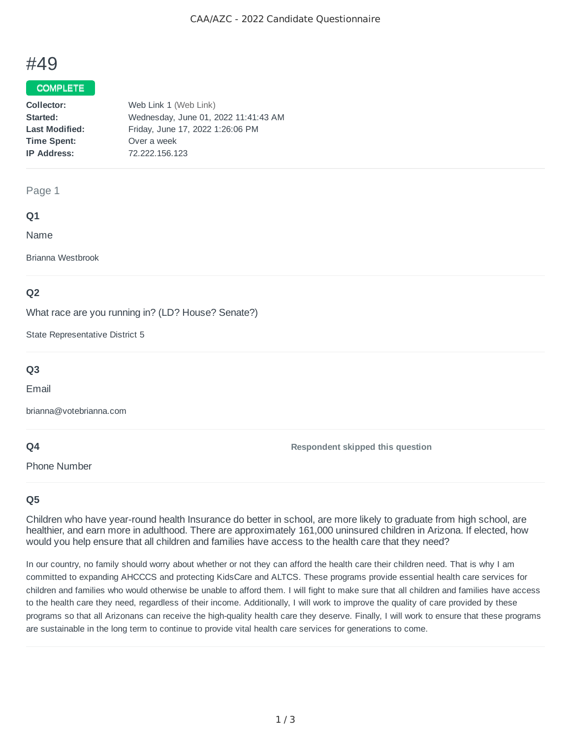# #49

### COMPLETE

| Collector:            | Web Link 1 (Web Link)                |
|-----------------------|--------------------------------------|
| Started:              | Wednesday, June 01, 2022 11:41:43 AM |
| <b>Last Modified:</b> | Friday, June 17, 2022 1:26:06 PM     |
| <b>Time Spent:</b>    | Over a week                          |
| <b>IP Address:</b>    | 72.222.156.123                       |
|                       |                                      |

#### Page 1

## **Q1**

Name

Brianna Westbrook

## **Q2**

What race are you running in? (LD? House? Senate?)

State Representative District 5

## **Q3**

Email

brianna@votebrianna.com

## **Q4**

Phone Number

**Respondent skipped this question**

## **Q5**

Children who have year-round health Insurance do better in school, are more likely to graduate from high school, are healthier, and earn more in adulthood. There are approximately 161,000 uninsured children in Arizona. If elected, how would you help ensure that all children and families have access to the health care that they need?

In our country, no family should worry about whether or not they can afford the health care their children need. That is why I am committed to expanding AHCCCS and protecting KidsCare and ALTCS. These programs provide essential health care services for children and families who would otherwise be unable to afford them. I will fight to make sure that all children and families have access to the health care they need, regardless of their income. Additionally, I will work to improve the quality of care provided by these programs so that all Arizonans can receive the high-quality health care they deserve. Finally, I will work to ensure that these programs are sustainable in the long term to continue to provide vital health care services for generations to come.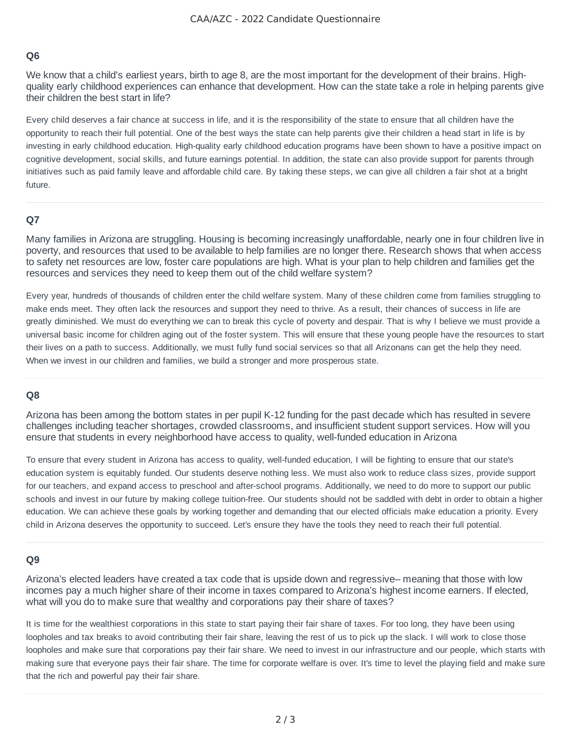## **Q6**

We know that a child's earliest years, birth to age 8, are the most important for the development of their brains. Highquality early childhood experiences can enhance that development. How can the state take a role in helping parents give their children the best start in life?

Every child deserves a fair chance at success in life, and it is the responsibility of the state to ensure that all children have the opportunity to reach their full potential. One of the best ways the state can help parents give their children a head start in life is by investing in early childhood education. High-quality early childhood education programs have been shown to have a positive impact on cognitive development, social skills, and future earnings potential. In addition, the state can also provide support for parents through initiatives such as paid family leave and affordable child care. By taking these steps, we can give all children a fair shot at a bright future.

#### **Q7**

Many families in Arizona are struggling. Housing is becoming increasingly unaffordable, nearly one in four children live in poverty, and resources that used to be available to help families are no longer there. Research shows that when access to safety net resources are low, foster care populations are high. What is your plan to help children and families get the resources and services they need to keep them out of the child welfare system?

Every year, hundreds of thousands of children enter the child welfare system. Many of these children come from families struggling to make ends meet. They often lack the resources and support they need to thrive. As a result, their chances of success in life are greatly diminished. We must do everything we can to break this cycle of poverty and despair. That is why I believe we must provide a universal basic income for children aging out of the foster system. This will ensure that these young people have the resources to start their lives on a path to success. Additionally, we must fully fund social services so that all Arizonans can get the help they need. When we invest in our children and families, we build a stronger and more prosperous state.

#### **Q8**

Arizona has been among the bottom states in per pupil K-12 funding for the past decade which has resulted in severe challenges including teacher shortages, crowded classrooms, and insufficient student support services. How will you ensure that students in every neighborhood have access to quality, well-funded education in Arizona

To ensure that every student in Arizona has access to quality, well-funded education, I will be fighting to ensure that our state's education system is equitably funded. Our students deserve nothing less. We must also work to reduce class sizes, provide support for our teachers, and expand access to preschool and after-school programs. Additionally, we need to do more to support our public schools and invest in our future by making college tuition-free. Our students should not be saddled with debt in order to obtain a higher education. We can achieve these goals by working together and demanding that our elected officials make education a priority. Every child in Arizona deserves the opportunity to succeed. Let's ensure they have the tools they need to reach their full potential.

#### **Q9**

Arizona's elected leaders have created a tax code that is upside down and regressive– meaning that those with low incomes pay a much higher share of their income in taxes compared to Arizona's highest income earners. If elected, what will you do to make sure that wealthy and corporations pay their share of taxes?

It is time for the wealthiest corporations in this state to start paying their fair share of taxes. For too long, they have been using loopholes and tax breaks to avoid contributing their fair share, leaving the rest of us to pick up the slack. I will work to close those loopholes and make sure that corporations pay their fair share. We need to invest in our infrastructure and our people, which starts with making sure that everyone pays their fair share. The time for corporate welfare is over. It's time to level the playing field and make sure that the rich and powerful pay their fair share.